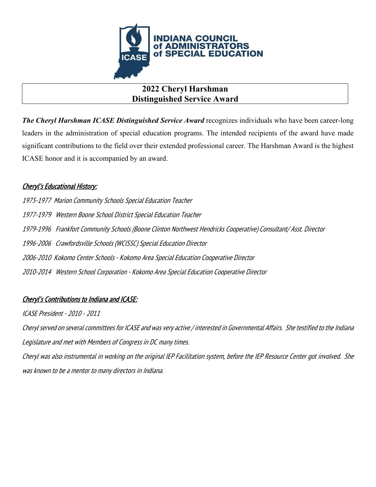

## **2022 Cheryl Harshman Distinguished Service Award**

*The Cheryl Harshman ICASE Distinguished Service Award* recognizes individuals who have been career-long leaders in the administration of special education programs. The intended recipients of the award have made significant contributions to the field over their extended professional career. The Harshman Award is the highest ICASE honor and it is accompanied by an award.

### Cheryl's Educational History:

1975-1977 Marion Community Schools Special Education Teacher 1977-1979 Western Boone School District Special Education Teacher 1979-1996 Frankfort Community Schools (Boone Clinton Northwest Hendricks Cooperative) Consultant/ Asst. Director 1996-2006 Crawfordsville Schools (WCISSC) Special Education Director 2006-2010 Kokomo Center Schools - Kokomo Area Special Education Cooperative Director 2010-2014 Western School Corporation - Kokomo Area Special Education Cooperative Director

## Cheryl's Contributions to Indiana and ICASE:

ICASE President - 2010 - 2011

Cheryl served on several committees for ICASE and was very active / interested in Governmental Affairs. She testified to the Indiana Legislature and met with Members of Congress in DC many times.

Cheryl was also instrumental in working on the original IEP Facilitation system, before the IEP Resource Center got involved. She was known to be a mentor to many directors in Indiana.